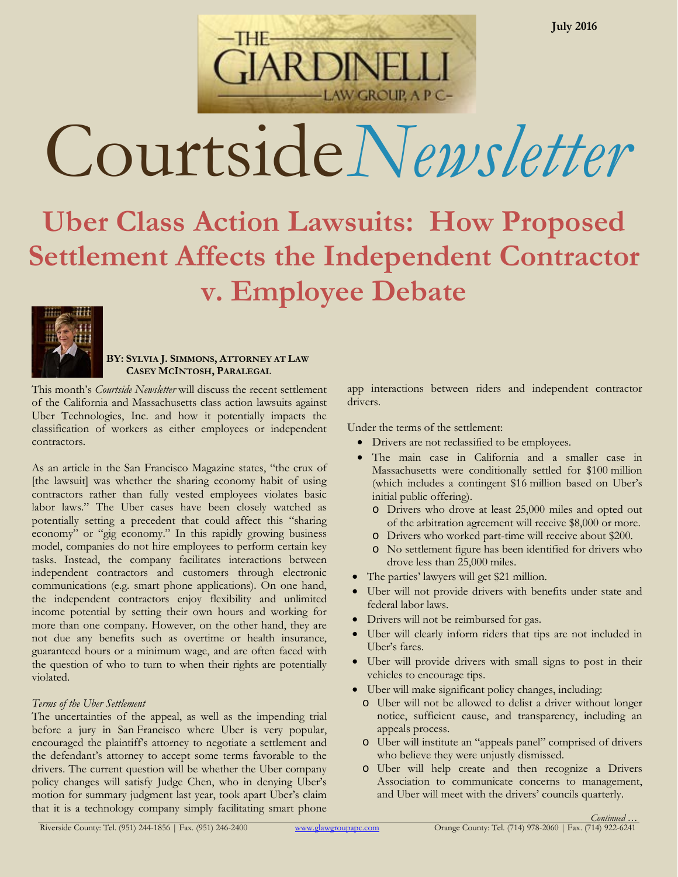

AW GROUP, A P C-

# **Uber Class Action Lawsuits: How Proposed Settlement Affects the Independent Contractor v. Employee Debate**



# **BY: SYLVIA J. SIMMONS, ATTORNEY AT LAW CASEY MCINTOSH, PARALEGAL**

This month's *Courtside Newsletter* will discuss the recent settlement of the California and Massachusetts class action lawsuits against Uber Technologies, Inc. and how it potentially impacts the classification of workers as either employees or independent contractors.

As an article in the San Francisco Magazine states, "the crux of [the lawsuit] was whether the sharing economy habit of using contractors rather than fully vested employees violates basic labor laws." The Uber cases have been closely watched as potentially setting a precedent that could affect this "sharing economy" or "gig economy." In this rapidly growing business model, companies do not hire employees to perform certain key tasks. Instead, the company facilitates interactions between independent contractors and customers through electronic communications (e.g. smart phone applications). On one hand, the independent contractors enjoy flexibility and unlimited income potential by setting their own hours and working for more than one company. However, on the other hand, they are not due any benefits such as overtime or health insurance, guaranteed hours or a minimum wage, and are often faced with the question of who to turn to when their rights are potentially violated.

# *Terms of the Uber Settlement*

The uncertainties of the appeal, as well as the impending trial before a jury in San Francisco where Uber is very popular, encouraged the plaintiff's attorney to negotiate a settlement and the defendant's attorney to accept some terms favorable to the drivers. The current question will be whether the Uber company policy changes will satisfy Judge Chen, who in denying Uber's motion for summary judgment last year, took apart Uber's claim that it is a technology company simply facilitating smart phone

app interactions between riders and independent contractor drivers.

Under the terms of the settlement:

- Drivers are not reclassified to be employees.
- The main case in California and a smaller case in Massachusetts were conditionally settled for \$100 million (which includes a contingent \$16 million based on Uber's initial public offering).
	- o Drivers who drove at least 25,000 miles and opted out of the arbitration agreement will receive \$8,000 or more.
	- o Drivers who worked part-time will receive about \$200.
	- o No settlement figure has been identified for drivers who drove less than 25,000 miles.
- The parties' lawyers will get \$21 million.
- Uber will not provide drivers with benefits under state and federal labor laws.
- Drivers will not be reimbursed for gas.
- Uber will clearly inform riders that tips are not included in Uber's fares.
- Uber will provide drivers with small signs to post in their vehicles to encourage tips.
- Uber will make significant policy changes, including:
	- o Uber will not be allowed to delist a driver without longer notice, sufficient cause, and transparency, including an appeals process.
	- o Uber will institute an "appeals panel" comprised of drivers who believe they were unjustly dismissed.
	- o Uber will help create and then recognize a Drivers Association to communicate concerns to management, and Uber will meet with the drivers' councils quarterly.